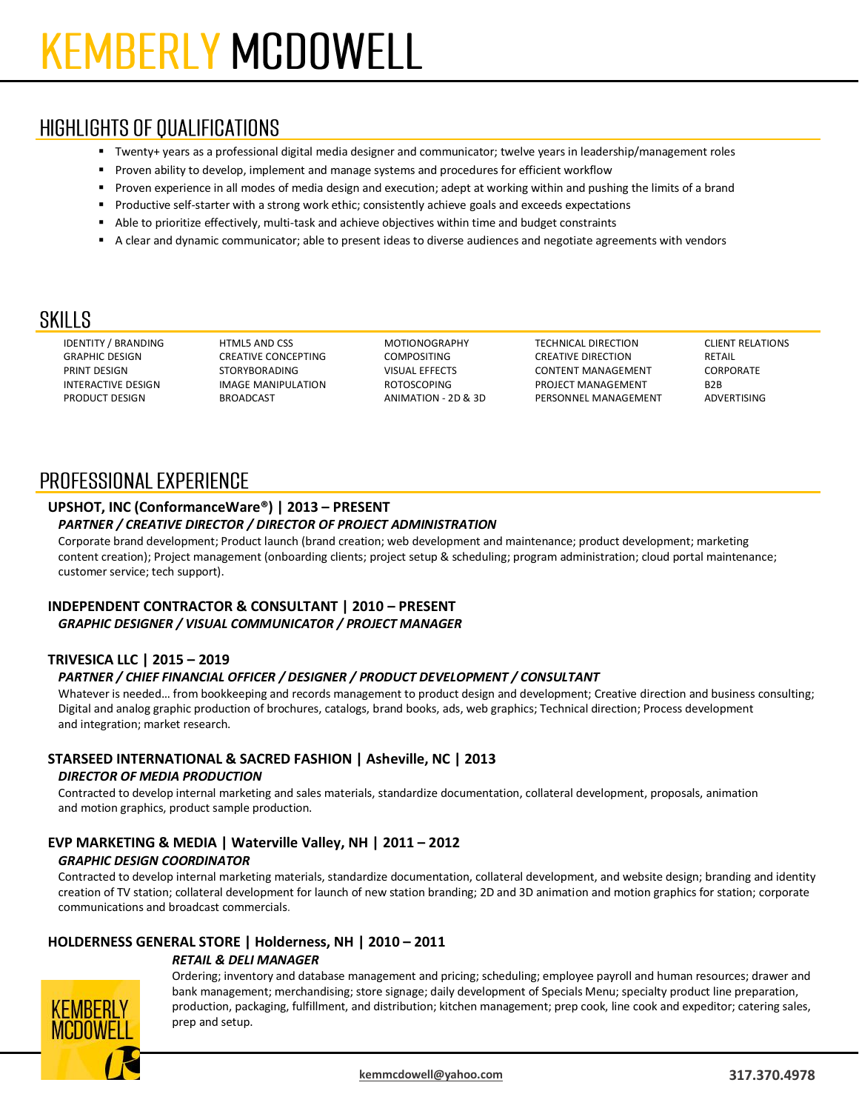# **HIGHLIGHTS OF QUALIFICATIONS**

- Twenty+ years as a professional digital media designer and communicator; twelve years in leadership/management roles
- Proven ability to develop, implement and manage systems and procedures for efficient workflow
- Proven experience in all modes of media design and execution; adept at working within and pushing the limits of a brand
- Productive self-starter with a strong work ethic; consistently achieve goals and exceeds expectations
- Able to prioritize effectively, multi-task and achieve objectives within time and budget constraints
- A clear and dynamic communicator; able to present ideas to diverse audiences and negotiate agreements with vendors

# SKILLS

IDENTITY / BRANDING GRAPHIC DESIGN PRINT DESIGN INTERACTIVE DESIGN PRODUCT DESIGN

HTML5 AND CSS CREATIVE CONCEPTING STORYBORADING IMAGE MANIPULATION **BROADCAST** 

MOTIONOGRAPHY **COMPOSITING** VISUAL EFFECTS ROTOSCOPING ANIMATION - 2D & 3D TECHNICAL DIRECTION CREATIVE DIRECTION CONTENT MANAGEMENT PROJECT MANAGEMENT PERSONNEL MANAGEMENT CLIENT RELATIONS RETAIL CORPORATE B2B ADVERTISING

## PROFESSIONAL EXPERIENCE

#### **UPSHOT, INC (ConformanceWare®) | 2013 – PRESENT** *PARTNER / CREATIVE DIRECTOR / DIRECTOR OF PROJECT ADMINISTRATION*

Corporate brand development; Product launch (brand creation; web development and maintenance; product development; marketing content creation); Project management (onboarding clients; project setup & scheduling; program administration; cloud portal maintenance; customer service; tech support).

## **INDEPENDENT CONTRACTOR & CONSULTANT | 2010 – PRESENT** *GRAPHIC DESIGNER / VISUAL COMMUNICATOR / PROJECT MANAGER*

## **TRIVESICA LLC | 2015 – 2019**

#### *PARTNER / CHIEF FINANCIAL OFFICER / DESIGNER / PRODUCT DEVELOPMENT / CONSULTANT*

Whatever is needed… from bookkeeping and records management to product design and development; Creative direction and business consulting; Digital and analog graphic production of brochures, catalogs, brand books, ads, web graphics; Technical direction; Process development and integration; market research.

## **STARSEED INTERNATIONAL & SACRED FASHION | Asheville, NC | 2013**

#### *DIRECTOR OF MEDIA PRODUCTION*

Contracted to develop internal marketing and sales materials, standardize documentation, collateral development, proposals, animation and motion graphics, product sample production.

## **EVP MARKETING & MEDIA | Waterville Valley, NH | 2011 – 2012** *GRAPHIC DESIGN COORDINATOR*

Contracted to develop internal marketing materials, standardize documentation, collateral development, and website design; branding and identity creation of TV station; collateral development for launch of new station branding; 2D and 3D animation and motion graphics for station; corporate communications and broadcast commercials.

#### **HOLDERNESS GENERAL STORE | Holderness, NH | 2010 – 2011** *RETAIL & DELI MANAGER*



Ordering; inventory and database management and pricing; scheduling; employee payroll and human resources; drawer and bank management; merchandising; store signage; daily development of Specials Menu; specialty product line preparation, production, packaging, fulfillment, and distribution; kitchen management; prep cook, line cook and expeditor; catering sales, prep and setup.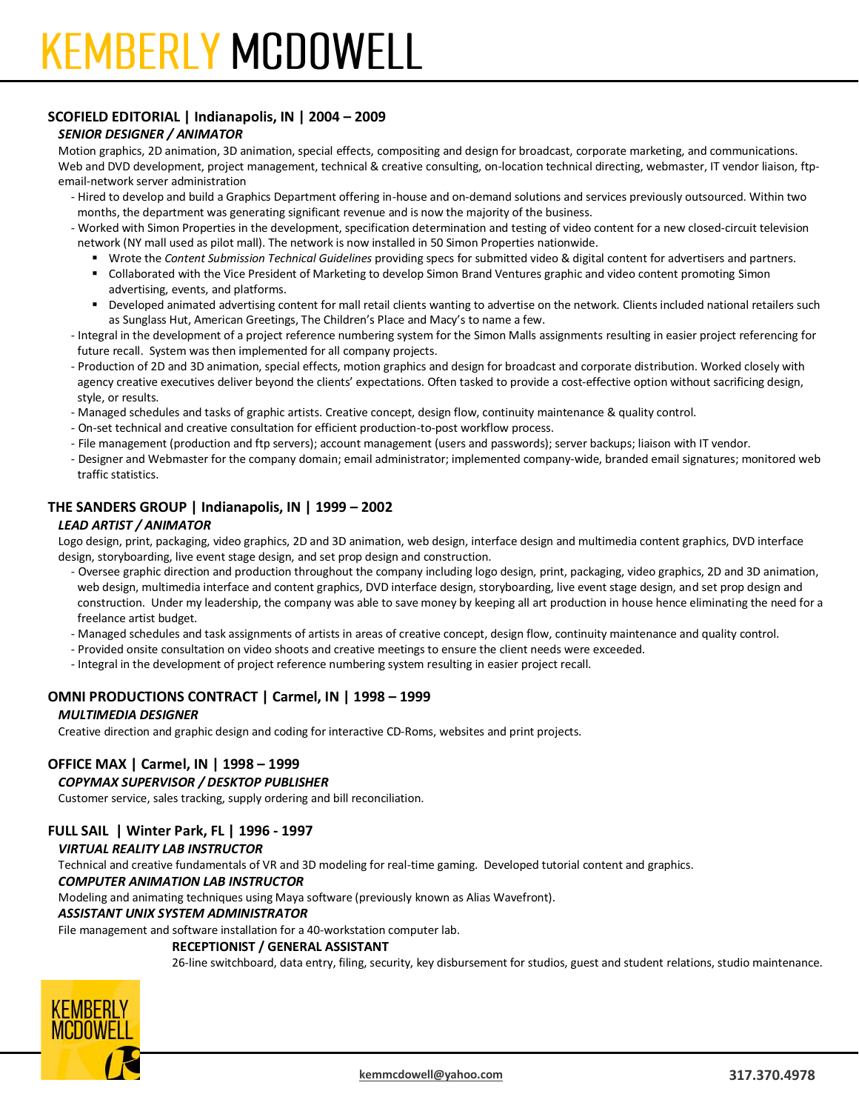## **SCOFIELD EDITORIAL | Indianapolis, IN | 2004 – 2009**

#### *SENIOR DESIGNER / ANIMATOR*

Motion graphics, 2D animation, 3D animation, special effects, compositing and design for broadcast, corporate marketing, and communications. Web and DVD development, project management, technical & creative consulting, on-location technical directing, webmaster, IT vendor liaison, ftpemail-network server administration

- Hired to develop and build a Graphics Department offering in-house and on-demand solutions and services previously outsourced. Within two months, the department was generating significant revenue and is now the majority of the business.
- Worked with Simon Properties in the development, specification determination and testing of video content for a new closed-circuit television network (NY mall used as pilot mall). The network is now installed in 50 Simon Properties nationwide.
	- Wrote the *Content Submission Technical Guidelines* providing specs for submitted video & digital content for advertisers and partners.
	- Collaborated with the Vice President of Marketing to develop Simon Brand Ventures graphic and video content promoting Simon advertising, events, and platforms.
	- Developed animated advertising content for mall retail clients wanting to advertise on the network. Clients included national retailers such as Sunglass Hut, American Greetings, The Children's Place and Macy's to name a few.
- Integral in the development of a project reference numbering system for the Simon Malls assignments resulting in easier project referencing for future recall. System was then implemented for all company projects.
- Production of 2D and 3D animation, special effects, motion graphics and design for broadcast and corporate distribution. Worked closely with agency creative executives deliver beyond the clients' expectations. Often tasked to provide a cost-effective option without sacrificing design, style, or results.
- Managed schedules and tasks of graphic artists. Creative concept, design flow, continuity maintenance & quality control.
- On-set technical and creative consultation for efficient production-to-post workflow process.
- File management (production and ftp servers); account management (users and passwords); server backups; liaison with IT vendor.
- Designer and Webmaster for the company domain; email administrator; implemented company-wide, branded email signatures; monitored web traffic statistics.

#### **THE SANDERS GROUP | Indianapolis, IN | 1999 – 2002**

#### *LEAD ARTIST / ANIMATOR*

Logo design, print, packaging, video graphics, 2D and 3D animation, web design, interface design and multimedia content graphics, DVD interface design, storyboarding, live event stage design, and set prop design and construction.

- Oversee graphic direction and production throughout the company including logo design, print, packaging, video graphics, 2D and 3D animation, web design, multimedia interface and content graphics, DVD interface design, storyboarding, live event stage design, and set prop design and construction. Under my leadership, the company was able to save money by keeping all art production in house hence eliminating the need for a freelance artist budget.
- Managed schedules and task assignments of artists in areas of creative concept, design flow, continuity maintenance and quality control.
- Provided onsite consultation on video shoots and creative meetings to ensure the client needs were exceeded.
- Integral in the development of project reference numbering system resulting in easier project recall.

## **OMNI PRODUCTIONS CONTRACT | Carmel, IN | 1998 – 1999**

#### *MULTIMEDIA DESIGNER*

Creative direction and graphic design and coding for interactive CD-Roms, websites and print projects.

## **OFFICE MAX | Carmel, IN | 1998 – 1999**

#### *COPYMAX SUPERVISOR / DESKTOP PUBLISHER*

Customer service, sales tracking, supply ordering and bill reconciliation.

## **FULL SAIL | Winter Park, FL | 1996 - 1997**

#### *VIRTUAL REALITY LAB INSTRUCTOR*

Technical and creative fundamentals of VR and 3D modeling for real-time gaming. Developed tutorial content and graphics.

#### *COMPUTER ANIMATION LAB INSTRUCTOR*

Modeling and animating techniques using Maya software (previously known as Alias Wavefront).

#### *ASSISTANT UNIX SYSTEM ADMINISTRATOR*

File management and software installation for a 40-workstation computer lab.

#### **RECEPTIONIST / GENERAL ASSISTANT**

26-line switchboard, data entry, filing, security, key disbursement for studios, guest and student relations, studio maintenance.

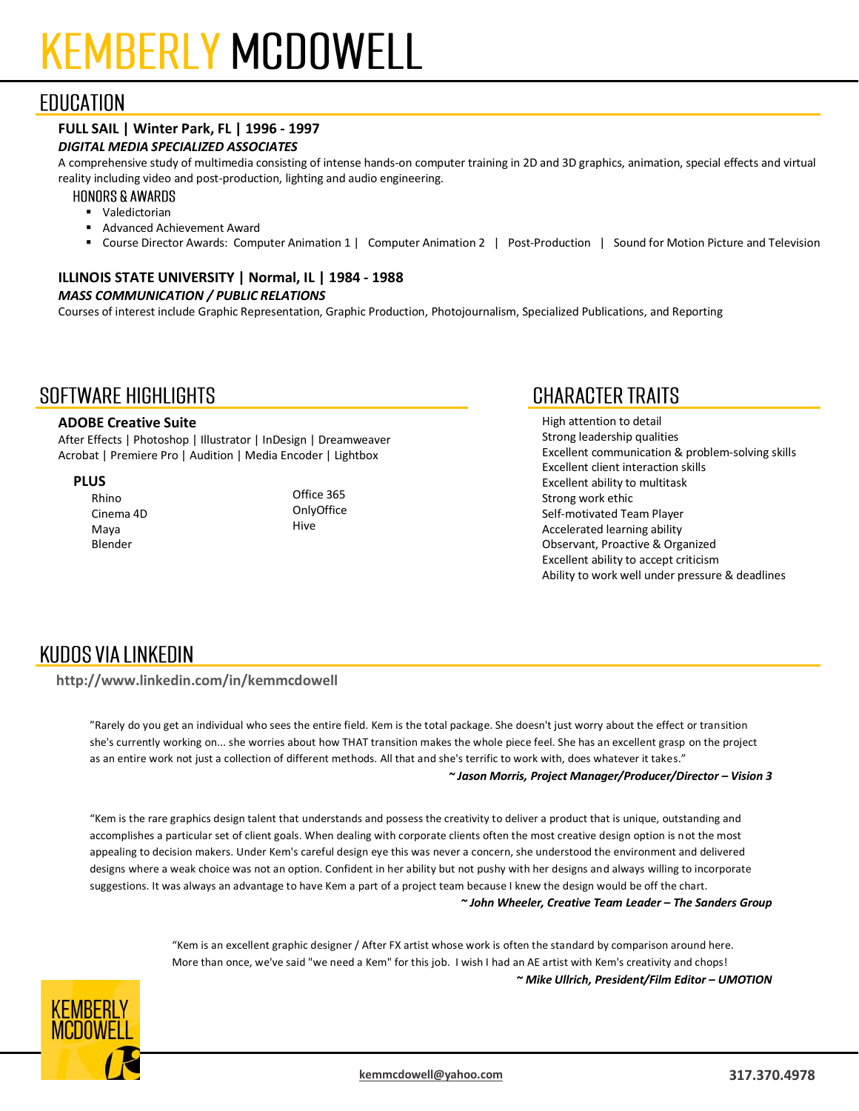# **EDUCATION**

## **FULL SAIL | Winter Park, FL | 1996 - 1997**

#### *DIGITAL MEDIA SPECIALIZED ASSOCIATES*

A comprehensive study of multimedia consisting of intense hands-on computer training in 2D and 3D graphics, animation, special effects and virtual reality including video and post-production, lighting and audio engineering.

#### HONORS & AWARDS

- Valedictorian
- Advanced Achievement Award
- Course Director Awards: Computer Animation 1 | Computer Animation 2 | Post-Production | Sound for Motion Picture and Television

#### **ILLINOIS STATE UNIVERSITY | Normal, IL | 1984 - 1988** *MASS COMMUNICATION / PUBLIC RELATIONS*

Courses of interest include Graphic Representation, Graphic Production, Photojournalism, Specialized Publications, and Reporting

# SOFTWARF HIGHLIGHTS

#### **ADOBE Creative Suite**

After Effects | Photoshop | Illustrator | InDesign | Dreamweaver Acrobat | Premiere Pro | Audition | Media Encoder | Lightbox

#### **PLUS**

Rhino Cinema 4D Maya Blender

Office 365 OnlyOffice Hive

# **CHARACTER TRAITS**

High attention to detail Strong leadership qualities Excellent communication & problem-solving skills Excellent client interaction skills Excellent ability to multitask Strong work ethic Self-motivated Team Player Accelerated learning ability Observant, Proactive & Organized Excellent ability to accept criticism Ability to work well under pressure & deadlines

# KUDOS VIA LINKEDIN

**<http://www.linkedin.com/in/kemmcdowell>**

"Rarely do you get an individual who sees the entire field. Kem is the total package. She doesn't just worry about the effect or transition she's currently working on... she worries about how THAT transition makes the whole piece feel. She has an excellent grasp on the project as an entire work not just a collection of different methods. All that and she's terrific to work with, does whatever it takes."

*~ Jason Morris, Project Manager/Producer/Director – Vision 3*

"Kem is the rare graphics design talent that understands and possess the creativity to deliver a product that is unique, outstanding and accomplishes a particular set of client goals. When dealing with corporate clients often the most creative design option is not the most appealing to decision makers. Under Kem's careful design eye this was never a concern, she understood the environment and delivered designs where a weak choice was not an option. Confident in her ability but not pushy with her designs and always willing to incorporate suggestions. It was always an advantage to have Kem a part of a project team because I knew the design would be off the chart. *~ John Wheeler, Creative Team Leader – The Sanders Group*

> "Kem is an excellent graphic designer / After FX artist whose work is often the standard by comparison around here. More than once, we've said "we need a Kem" for this job. I wish I had an AE artist with Kem's creativity and chops! *~ Mike Ullrich, President/Film Editor – UMOTION*